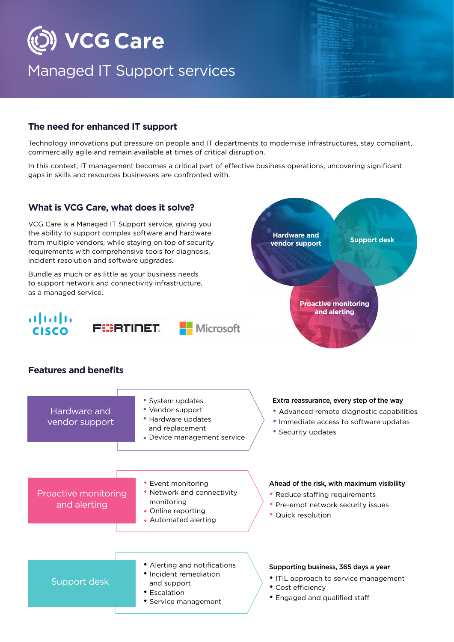

### Managed IT Support services

#### **The need for enhanced IT support**

Technology innovations put pressure on people and IT departments to modernise infrastructures, stay compliant, commercially agile and remain available at times of critical disruption.

In this context, IT management becomes a critical part of effective business operations, uncovering significant gaps in skills and resources businesses are confronted with.